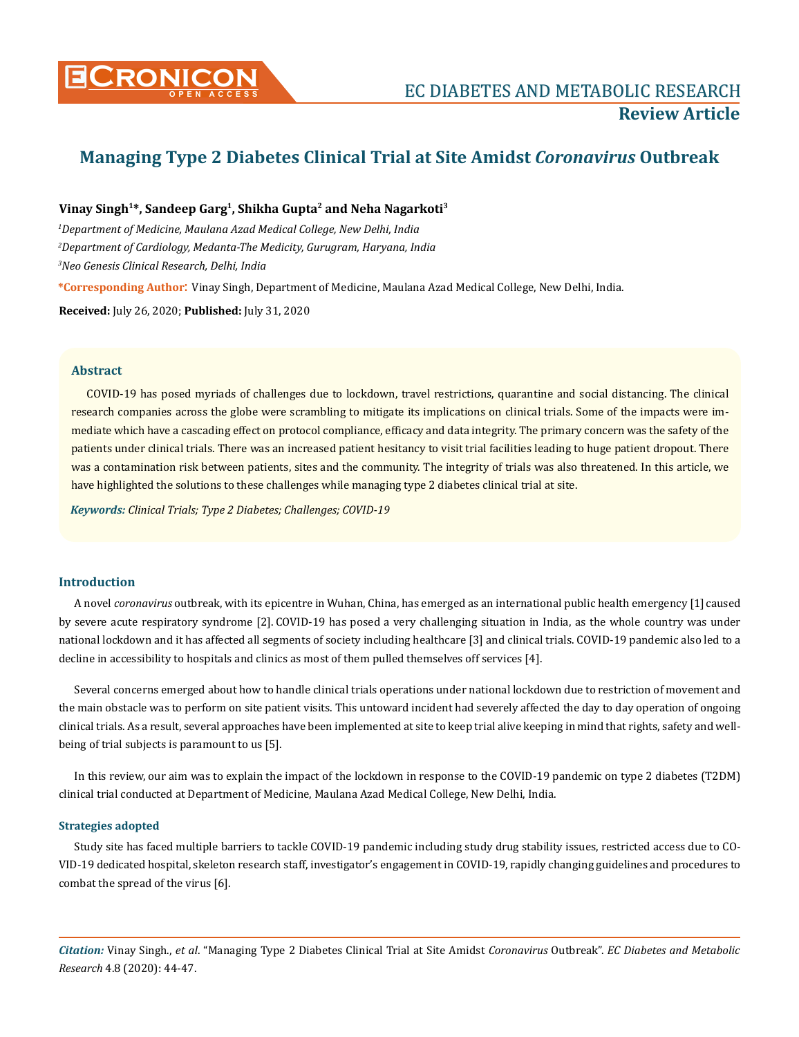

# **Managing Type 2 Diabetes Clinical Trial at Site Amidst** *Coronavirus* **Outbreak**

# **Vinay Singh1\*, Sandeep Garg1, Shikha Gupta2 and Neha Nagarkoti3**

*1 Department of Medicine, Maulana Azad Medical College, New Delhi, India 2 Department of Cardiology, Medanta-The Medicity, Gurugram, Haryana, India 3 Neo Genesis Clinical Research, Delhi, India*

**\*Corresponding Author**: Vinay Singh, Department of Medicine, Maulana Azad Medical College, New Delhi, India.

**Received:** July 26, 2020; **Published:** July 31, 2020

# **Abstract**

COVID-19 has posed myriads of challenges due to lockdown, travel restrictions, quarantine and social distancing. The clinical research companies across the globe were scrambling to mitigate its implications on clinical trials. Some of the impacts were immediate which have a cascading effect on protocol compliance, efficacy and data integrity. The primary concern was the safety of the patients under clinical trials. There was an increased patient hesitancy to visit trial facilities leading to huge patient dropout. There was a contamination risk between patients, sites and the community. The integrity of trials was also threatened. In this article, we have highlighted the solutions to these challenges while managing type 2 diabetes clinical trial at site.

*Keywords: Clinical Trials; Type 2 Diabetes; Challenges; COVID-19*

## **Introduction**

A novel *coronavirus* outbreak, with its epicentre in Wuhan, China, has emerged as an international public health emergency [1] caused by severe acute respiratory syndrome [2]. COVID-19 has posed a very challenging situation in India, as the whole country was under national lockdown and it has affected all segments of society including healthcare [3] and clinical trials. COVID-19 pandemic also led to a decline in accessibility to hospitals and clinics as most of them pulled themselves off services [4].

Several concerns emerged about how to handle clinical trials operations under national lockdown due to restriction of movement and the main obstacle was to perform on site patient visits. This untoward incident had severely affected the day to day operation of ongoing clinical trials. As a result, several approaches have been implemented at site to keep trial alive keeping in mind that rights, safety and wellbeing of trial subjects is paramount to us [5].

In this review, our aim was to explain the impact of the lockdown in response to the COVID-19 pandemic on type 2 diabetes (T2DM) clinical trial conducted at Department of Medicine, Maulana Azad Medical College, New Delhi, India.

## **Strategies adopted**

Study site has faced multiple barriers to tackle COVID-19 pandemic including study drug stability issues, restricted access due to CO-VID-19 dedicated hospital, skeleton research staff, investigator's engagement in COVID-19, rapidly changing guidelines and procedures to combat the spread of the virus [6].

*Citation:* Vinay Singh., *et al*. "Managing Type 2 Diabetes Clinical Trial at Site Amidst *Coronavirus* Outbreak". *EC Diabetes and Metabolic Research* 4.8 (2020): 44-47.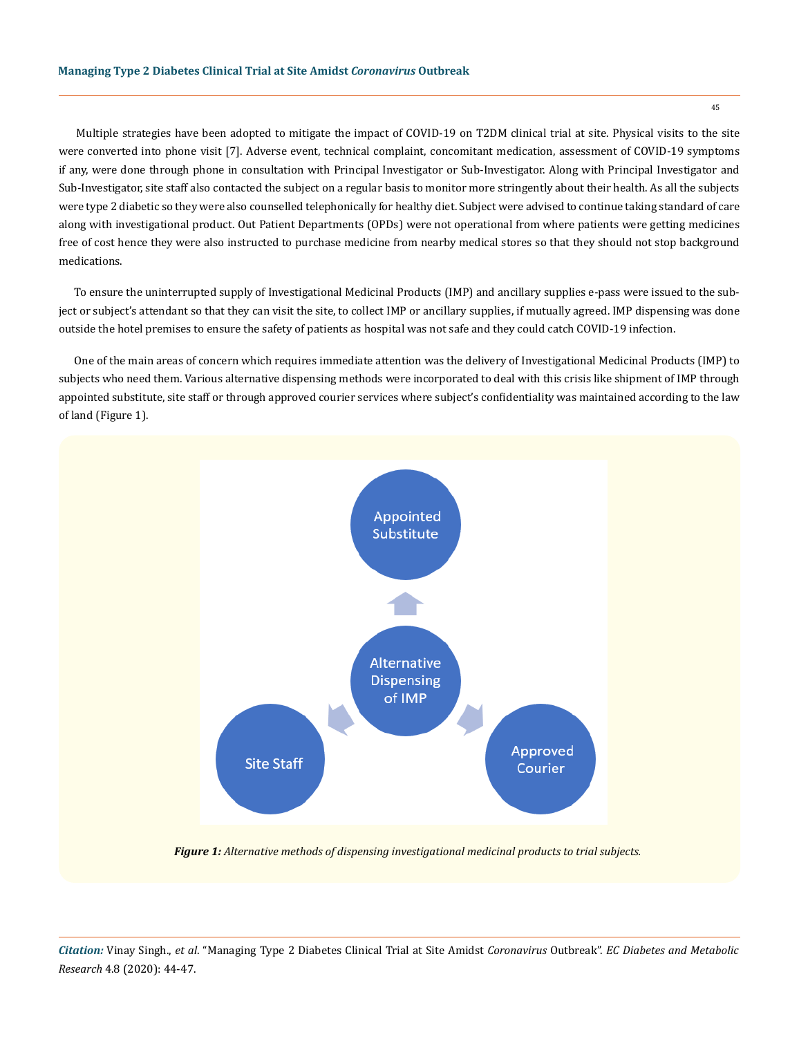Multiple strategies have been adopted to mitigate the impact of COVID-19 on T2DM clinical trial at site. Physical visits to the site were converted into phone visit [7]. Adverse event, technical complaint, concomitant medication, assessment of COVID-19 symptoms if any, were done through phone in consultation with Principal Investigator or Sub-Investigator. Along with Principal Investigator and Sub-Investigator, site staff also contacted the subject on a regular basis to monitor more stringently about their health. As all the subjects were type 2 diabetic so they were also counselled telephonically for healthy diet. Subject were advised to continue taking standard of care along with investigational product. Out Patient Departments (OPDs) were not operational from where patients were getting medicines free of cost hence they were also instructed to purchase medicine from nearby medical stores so that they should not stop background medications.

To ensure the uninterrupted supply of Investigational Medicinal Products (IMP) and ancillary supplies e-pass were issued to the subject or subject's attendant so that they can visit the site, to collect IMP or ancillary supplies, if mutually agreed. IMP dispensing was done outside the hotel premises to ensure the safety of patients as hospital was not safe and they could catch COVID-19 infection.

One of the main areas of concern which requires immediate attention was the delivery of Investigational Medicinal Products (IMP) to subjects who need them. Various alternative dispensing methods were incorporated to deal with this crisis like shipment of IMP through appointed substitute, site staff or through approved courier services where subject's confidentiality was maintained according to the law of land (Figure 1).



*Figure 1: Alternative methods of dispensing investigational medicinal products to trial subjects.*

45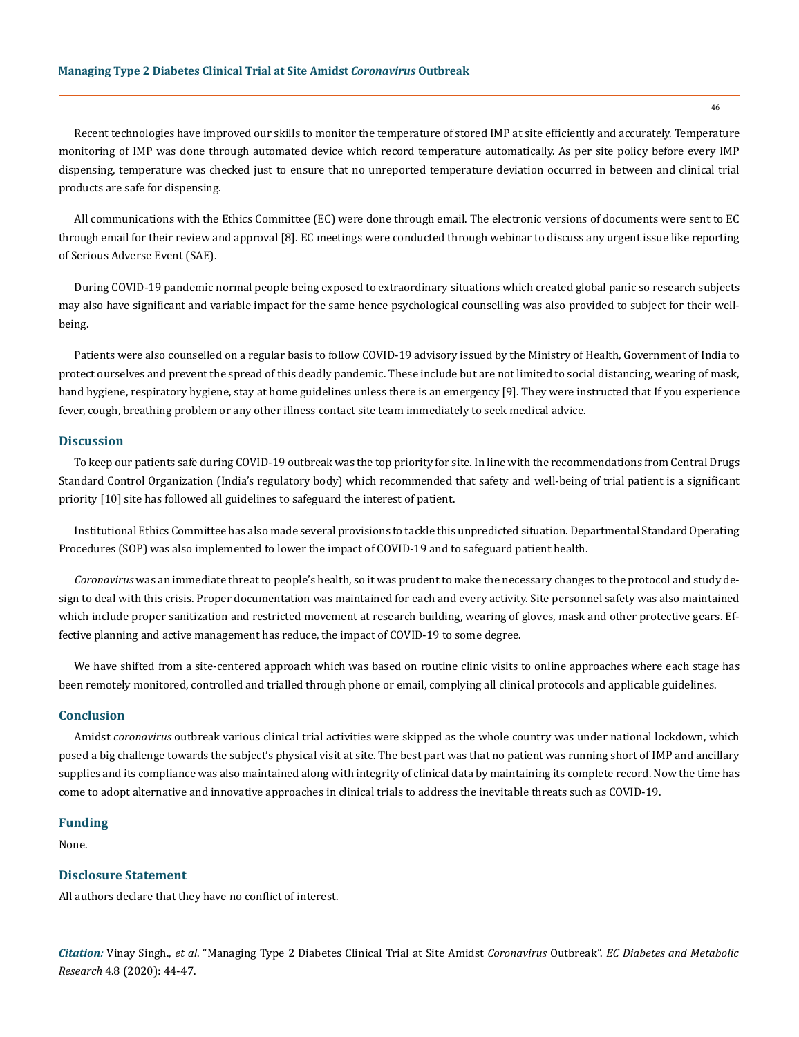Recent technologies have improved our skills to monitor the temperature of stored IMP at site efficiently and accurately. Temperature monitoring of IMP was done through automated device which record temperature automatically. As per site policy before every IMP dispensing, temperature was checked just to ensure that no unreported temperature deviation occurred in between and clinical trial products are safe for dispensing.

All communications with the Ethics Committee (EC) were done through email. The electronic versions of documents were sent to EC through email for their review and approval [8]. EC meetings were conducted through webinar to discuss any urgent issue like reporting of Serious Adverse Event (SAE).

During COVID-19 pandemic normal people being exposed to extraordinary situations which created global panic so research subjects may also have significant and variable impact for the same hence psychological counselling was also provided to subject for their wellbeing.

Patients were also counselled on a regular basis to follow COVID-19 advisory issued by the Ministry of Health, Government of India to protect ourselves and prevent the spread of this deadly pandemic. These include but are not limited to social distancing, wearing of mask, hand hygiene, respiratory hygiene, stay at home guidelines unless there is an emergency [9]. They were instructed that If you experience fever, cough, breathing problem or any other illness contact site team immediately to seek medical advice.

#### **Discussion**

To keep our patients safe during COVID-19 outbreak was the top priority for site. In line with the recommendations from Central Drugs Standard Control Organization (India's regulatory body) which recommended that safety and well-being of trial patient is a significant priority [10] site has followed all guidelines to safeguard the interest of patient.

Institutional Ethics Committee has also made several provisions to tackle this unpredicted situation. Departmental Standard Operating Procedures (SOP) was also implemented to lower the impact of COVID-19 and to safeguard patient health.

*Coronavirus* was an immediate threat to people's health, so it was prudent to make the necessary changes to the protocol and study design to deal with this crisis. Proper documentation was maintained for each and every activity. Site personnel safety was also maintained which include proper sanitization and restricted movement at research building, wearing of gloves, mask and other protective gears. Effective planning and active management has reduce, the impact of COVID-19 to some degree.

We have shifted from a site-centered approach which was based on routine clinic visits to online approaches where each stage has been remotely monitored, controlled and trialled through phone or email, complying all clinical protocols and applicable guidelines.

## **Conclusion**

Amidst *coronavirus* outbreak various clinical trial activities were skipped as the whole country was under national lockdown, which posed a big challenge towards the subject's physical visit at site. The best part was that no patient was running short of IMP and ancillary supplies and its compliance was also maintained along with integrity of clinical data by maintaining its complete record. Now the time has come to adopt alternative and innovative approaches in clinical trials to address the inevitable threats such as COVID-19.

## **Funding**

None.

# **Disclosure Statement**

All authors declare that they have no conflict of interest.

*Citation:* Vinay Singh., *et al*. "Managing Type 2 Diabetes Clinical Trial at Site Amidst *Coronavirus* Outbreak". *EC Diabetes and Metabolic Research* 4.8 (2020): 44-47.

46